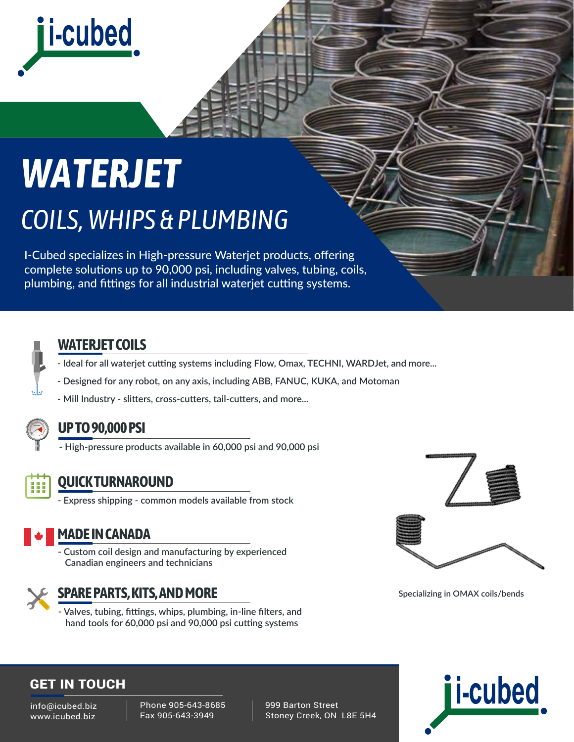

# *WATERJET COILS, WHIPS & PLUMBING*

I-Cubed specializes in High-pressure Waterjet products, offering complete solutions up to 90,000 psi, including valves, tubing, coils, plumbing, and fittings for all industrial waterjet cutting systems.



#### **WATERJET COILS**

- **Ideal for all waterjet cutting systems including Flow, Omax, TECHNI, WARDJet, and more...**
- **Designed for any robot, on any axis, including ABB, FANUC, KUKA, and Motoman**
- **Mill Industry slitters, cross-cutters, tail-cutters, and more...**



#### **UP TO 90,000 PSI**

**- High-pressure products available in 60,000 psi and 90,000 psi**



#### **QUICK TURNAROUND**

**- Express shipping - common models available from stock**



#### **MADE IN CANADA**

**- Custom coil design and manufacturing by experienced Canadian engineers and technicians**



#### **SPARE PARTS, KITS, AND MORE**

**- Valves, tubing, fittings, whips, plumbing, in-line filters, and hand tools for 60,000 psi and 90,000 psi cutting systems**



**Specializing in OMAX coils/bends**

#### GET IN TOUCH

info@icubed.biz www.icubed.biz

Phone 905-643-8685 Fax 905-643-3949

 999 Barton Street Stoney Creek, ON L8E 5H4